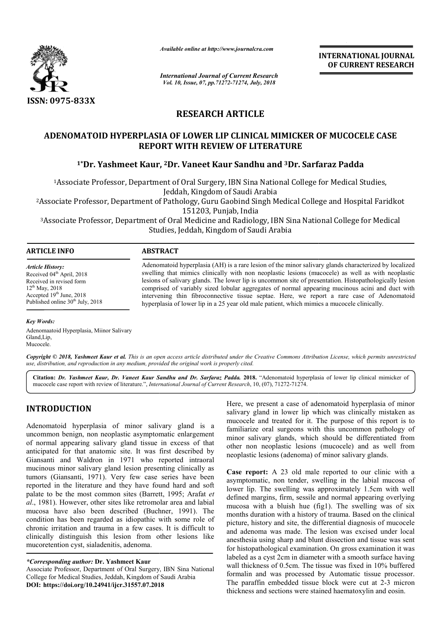

*Available online at http://www.journalcra.com*

*International Journal of Current Research Vol. 10, Issue, 07, pp.71272-71274, July, 2018*

**INTERNATIONAL JOURNAL OF CURRENT RESEARCH**

# **RESEARCH ARTICLE**

### ADENOMATOID HYPERPLASIA OF LOWER LIP CLINICAL MIMICKER OF MUCOCELE CASE **REPORT WITH REVIEW OF LITERATURE**

## **1\*Dr. Yashmeet Kaur, 2Dr. Vaneet Kaur Sandhu and 3Dr. Sarfaraz Padda**

1Associate Professor, Department of Oral Surgery, IBN Sina National College for Medical Studies, Associate Jeddah, Kingdom of Saudi Arabia ment of Oral Surgery, IBN Sina National College for Medical Studies,<br>Jeddah, Kingdom of Saudi Arabia<br>of Pathology, Guru Gaobind Singh Medical College and Hospital Faridko<br>151203, Punjab, India<br>t of Oral Medicine and Radiol

2Associate Professor, Department of Pathology, Guru Gaobind Singh Medical College and Hospital Faridkot

151203, Punjab, India

3Associate Professor, Department of Oral Medicine and Radiology, IBN Sina National College for Medical Associate Studies, Jeddah, Kingdom of Saudi Arabia

#### **ARTICLE INFO ABSTRACT**

*Article History:* Received 04<sup>th</sup> April, 2018 Received in revised form  $12^{th}$  May, 2018 Accepted 19th June, 2018 Published online 30<sup>th</sup> July, 2018

Adenomatoid hyperplasia (AH) is a rare lesion of the minor salivary glands characterized by localized Adenomatoid hyperplasia (AH) is a rare lesion of the minor salivary glands characterized by localized swelling that mimics clinically with non neoplastic lesions (mucocele) as well as with neoplastic lesions of salivary glands. The lower lip is uncommon site of presentation. Histopathologically lesion comprised of variably sized lobular aggregates of normal appearing mucinous acini and duct with intervening thin fibroconnective tissue septae. Here, we report a rare case of Adenomatoid hyperplasia of lower lip in a 25 year old male patient, which mimics a mucocele clinically. lesions of salivary glands. The lower lip is uncommon site of presentation. Histopathologic comprised of variably sized lobular aggregates of normal appearing mucinous acini and intervening thin fibroconnective tissue sept

#### *Key Words:*

Adenomaatoid Hyperplasia, Miinor Salivary Gland,Lip, Mucocele.

Copyright © 2018, Yashmeet Kaur et al. This is an open access article distributed under the Creative Commons Attribution License, which permits unrestricted *use, distribution, and reproduction in any medium, provided the original work is properly cited.*

Citation: Dr. Yashmeet Kaur, Dr. Vaneet Kaur Sandhu and Dr. Sarfaraz Padda. 2018. "Adenomatoid hyperplasia of lower lip clinical mimicker of mucocele case report with review of literature.", *International Journal of Current Research*, 10, (07), 71272-71274.

### **INTRODUCTION**

Adenomatoid hyperplasia of minor salivary gland is a uncommon benign, non neoplastic asymptomatic enlargement of normal appearing salivary gland tissue in excess of that anticipated for that anatomic site. It was first described by Giansanti and Waldron in 1971 who reported intraoral mucinous minor salivary gland lesion presenting clinically as tumors (Giansanti, 1971). Very few case series have been reported in the literature and they have found hard and soft palate to be the most common sites (Barrett, 1995; Arafat et *al*., 1981). However, other sites like retromolar area and labial al., 1981). However, other sites like retromolar area and labial mucosa have also been described (Buchner, 1991). The condition has been regarded as idiopathic with some role of chronic irritation and trauma in a few cases. It is difficult to clinically distinguish this lesion from other lesions like mucoretention cyst, sialadenitis, adenoma. . Very few case series have been<br>and they have found hard and soft<br>nmon sites (Barrett, 1995; Arafat *et* 

Associate Professor, Department of Oral Surgery, IBN Sina National College for Medical Studies, Jeddah, Kingdom of Saudi Arabia **DOI: https://doi.org/10.24941/ijcr.31557.07.2018**

Here, we present a case of adenomatoid hyperplasia of minor salivary gland in lower lip which was clinically mistaken as mucocele and treated for it. The purpose of this report is to familiarize oral surgeons with this uncommon pathology of minor salivary glands, which should be differentiated from other non neoplastic lesions (mucocele) and as well from neoplastic lesions (adenoma) of minor salivary glands. eated for it. The purpose of this report is to surgeons with this uncommon pathology of glands, which should be differentiated from astic lesions (mucocele) and as well from

Here, we present a case of adenomatoid hyperplasia of minor<br>salivary gland is a mucoccle and treated for it. The purpose of this report is to<br>proptomatic enlargement<br>timinor salivary glands, which was climated from<br>twas fi **Case report:** A 23 old male reported to our clinic with a asymptomatic, non tender, swelling in the labial mucosa of lower lip. The swelling was approximately 1.5cm with well lower lip. The swelling was approximately 1.5cm with well defined margins, firm, sessile and normal appearing overlying mucosa with a bluish hue (fig1). The swelling was of six months duration with a history of trauma. Based on the clinical picture, history and site, the differential diagnosis of and adenoma was made. The lesion was excised under local anesthesia using sharp and blunt dissection and tissue was sent for histopathological examination. On gross examination it was labeled as a cyst 2cm in diameter with a smooth surface having wall thickness of 0.5cm. The tissue was fixed in 10% buffered formalin and was processed by Automatic tissue processor. formalin and was processed by Automatic tissue processor.<br>The paraffin embedded tissue block were cut at 2-3 micron thickness and sections were stained haematoxylin and eosin. with a bluish hue (fig1). The swelling was of six duration with a history of trauma. Based on the clinical history and site, the differential diagnosis of mucocele anesthesia using sharp and blunt dissection and tissue was sent<br>for histopathological examination. On gross examination it was<br>labeled as a cyst 2cm in diameter with a smooth surface having<br>wall thickness of 0.5cm. The tis INTERNATIONAL JOURNAL<br> **OF CURRENT RESEARCH**<br> **OF CURRENT RESEARCH**<br> **CERVICUTE:**<br> **CERVICUTE:**<br> **CERVICUTE:**<br> **CERVICUTE:**<br> **CERVICUTE:**<br> **CERVICUTE:**<br> **CERVICUTE:**<br> **CERVICUTE:**<br> **CERVICUTE:**<br> **CERVICUTE:**<br> **CERVICUTE:**<br>

*<sup>\*</sup>Corresponding author:* **Dr. Yashmeet Kaur**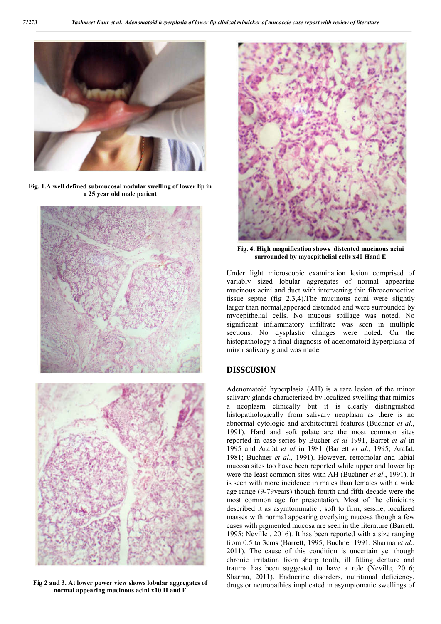

**Fig. 1.A well defined submucosal nodular swelling of lower lip in a 25 year old male patient**





**Fig 2 and 3. At lower power view shows lobular aggregates of normal appearing mucinous acini x10 H and E**



**Fig. 4. High magnification shows distented mucinous acini surrounded by myoepithelial cells x40 Hand E**

Under light microscopic examination lesion comprised of variably sized lobular aggregates of normal appearing mucinous acini and duct with intervening thin fibroconnective tissue septae (fig 2,3,4).The mucinous acini were slightly larger than normal,apperaed distended and were surrounded by myoepithelial cells. No mucous spillage was noted. No significant inflammatory infiltrate was seen in multiple sections. No dysplastic changes were noted. On the histopathology a final diagnosis of adenomatoid hyperplasia of minor salivary gland was made.

### **DISSCUSION**

Adenomatoid hyperplasia (AH) is a rare lesion of the minor salivary glands characterized by localized swelling that mimics a neoplasm clinically but it is clearly distinguished histopathologically from salivary neoplasm as there is no abnormal cytologic and architectural features (Buchner *et al*., 1991). Hard and soft palate are the most common sites reported in case series by Bucher *et al* 1991, Barret *et al* in 1995 and Arafat *et al* in 1981 (Barrett *et al*., 1995; Arafat, 1981; Buchner *et al*., 1991). However, retromolar and labial mucosa sites too have been reported while upper and lower lip were the least common sites with AH (Buchner *et al*., 1991). It is seen with more incidence in males than females with a wide age range (9-79years) though fourth and fifth decade were the most common age for presentation. Most of the clinicians described it as asymtommatic , soft to firm, sessile, localized masses with normal appearing overlying mucosa though a few cases with pigmented mucosa are seen in the literature (Barrett, 1995; Neville , 2016). It has been reported with a size ranging from 0.5 to 3cms (Barrett, 1995; Buchner 1991; Sharma *et al*., 2011). The cause of this condition is uncertain yet though chronic irritation from sharp tooth, ill fitting denture and trauma has been suggested to have a role (Neville, 2016; Sharma, 2011). Endocrine disorders, nutritional deficiency, drugs or neuropathies implicated in asymptomatic swellings of